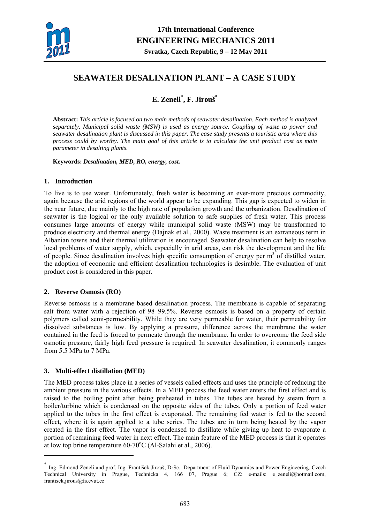

# **SEAWATER DESALINATION PLANT – A CASE STUDY**

# **E. Zeneli\* , F. Jirouš\***

**Abstract:** *This article is focused on two main methods of seawater desalination. Each method is analyzed separately. Municipal solid waste (MSW) is used as energy source. Coupling of waste to power and seawater desalination plant is discussed in this paper. The case study presents a touristic area where this process could by worthy. The main goal of this article is to calculate the unit product cost as main parameter in desalting plants.* 

**Keywords:** *Desalination, MED, RO, energy, cost.* 

## **1. Introduction**

To live is to use water. Unfortunately, fresh water is becoming an ever-more precious commodity, again because the arid regions of the world appear to be expanding. This gap is expected to widen in the near future, due mainly to the high rate of population growth and the urbanization. Desalination of seawater is the logical or the only available solution to safe supplies of fresh water. This process consumes large amounts of energy while municipal solid waste (MSW) may be transformed to produce electricity and thermal energy (Dajnak et al., 2000). Waste treatment is an extraneous term in Albanian towns and their thermal utilization is encouraged. Seawater desalination can help to resolve local problems of water supply, which, especially in arid areas, can risk the development and the life of people. Since desalination involves high specific consumption of energy per  $m<sup>3</sup>$  of distilled water, the adoption of economic and efficient desalination technologies is desirable. The evaluation of unit product cost is considered in this paper.

## **2. Reverse Osmosis (RO)**

Reverse osmosis is a membrane based desalination process. The membrane is capable of separating salt from water with a rejection of 98–99.5%. Reverse osmosis is based on a property of certain polymers called semi-permeability. While they are very permeable for water, their permeability for dissolved substances is low. By applying a pressure, difference across the membrane the water contained in the feed is forced to permeate through the membrane. In order to overcome the feed side osmotic pressure, fairly high feed pressure is required. In seawater desalination, it commonly ranges from 5.5 MPa to 7 MPa.

# **3. Multi-effect distillation (MED)**

1

The MED process takes place in a series of vessels called effects and uses the principle of reducing the ambient pressure in the various effects. In a MED process the feed water enters the first effect and is raised to the boiling point after being preheated in tubes. The tubes are heated by steam from a boiler/turbine which is condensed on the opposite sides of the tubes. Only a portion of feed water applied to the tubes in the first effect is evaporated. The remaining fed water is fed to the second effect, where it is again applied to a tube series. The tubes are in turn being heated by the vapor created in the first effect. The vapor is condensed to distillate while giving up heat to evaporate a portion of remaining feed water in next effect. The main feature of the MED process is that it operates at low top brine temperature  $60-70^{\circ}$ C (Al-Salahi et al., 2006).

<sup>\*</sup> Ing. Edmond Zeneli and prof. Ing. František Jirouš, DrSc.: Department of Fluid Dynamics and Power Engineering. Czech Technical University in Prague, Technicka 4, 166 07, Prague 6; CZ: e-mails: e\_zeneli@hotmail.com, frantisek.jirous@fs.cvut.cz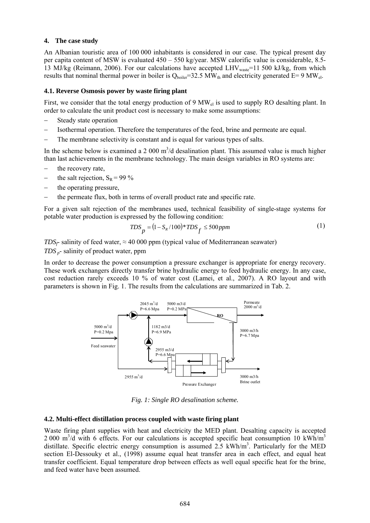## **4. The case study**

An Albanian touristic area of 100 000 inhabitants is considered in our case. The typical present day per capita content of MSW is evaluated 450 – 550 kg/year. MSW calorific value is considerable, 8.5- 13 MJ/kg (Reimann, 2006). For our calculations have accepted LHV<sub>waste</sub>=11 500 kJ/kg, from which results that nominal thermal power in boiler is  $Q_{\text{boiler}}=32.5 \text{ MW}_{\text{th}}$  and electricity generated E= 9 MW<sub>el</sub>.

### **4.1. Reverse Osmosis power by waste firing plant**

First, we consider that the total energy production of 9 MW<sub>el</sub> is used to supply RO desalting plant. In order to calculate the unit product cost is necessary to make some assumptions:

- Steady state operation
- − Isothermal operation. Therefore the temperatures of the feed, brine and permeate are equal.
- The membrane selectivity is constant and is equal for various types of salts.

In the scheme below is examined a 2 000  $m^3/d$  desalination plant. This assumed value is much higher than last achievements in the membrane technology. The main design variables in RO systems are:

- − the recovery rate,
- $-$  the salt rejection,  $S_R = 99\%$
- the operating pressure,
- the permeate flux, both in terms of overall product rate and specific rate.

For a given salt rejection of the membranes used, technical feasibility of single-stage systems for potable water production is expressed by the following condition:

$$
TDS_p = (1 - S_R / 100)^* TDS_f \le 500 ppm \tag{1}
$$

 $\overline{a}$ *TDS<sub>f</sub>*- salinity of feed water,  $\approx$  40 000 ppm (typical value of Mediterranean seawater)

*TDS p*- salinity of product water, ppm

In order to decrease the power consumption a pressure exchanger is appropriate for energy recovery. These work exchangers directly transfer brine hydraulic energy to feed hydraulic energy. In any case, cost reduction rarely exceeds 10 % of water cost (Lamei, et al., 2007). A RO layout and with parameters is shown in Fig. 1. The results from the calculations are summarized in Tab. 2.



*Fig. 1: Single RO desalination scheme.*

#### **4.2. Multi-effect distillation process coupled with waste firing plant**

Waste firing plant supplies with heat and electricity the MED plant. Desalting capacity is accepted  $2000 \text{ m}^3/\text{d}$  with 6 effects. For our calculations is accepted specific heat consumption 10 kWh/m<sup>3</sup> distillate. Specific electric energy consumption is assumed  $2.5 \text{ kWh/m}^3$ . Particularly for the MED section El-Dessouky et al., (1998) assume equal heat transfer area in each effect, and equal heat transfer coefficient. Equal temperature drop between effects as well equal specific heat for the brine, and feed water have been assumed.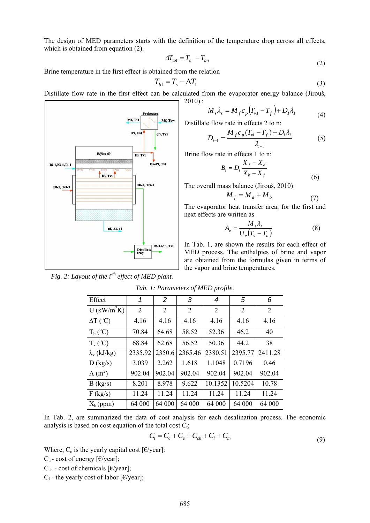The design of MED parameters starts with the definition of the temperature drop across all effects, which is obtained from equation (2).

$$
\varDelta T_{tot} = T_s - T_{bn} \tag{2}
$$

Brine temperature in the first effect is obtained from the relation

$$
T_{b1} = T_s - \Delta T_1 \tag{3}
$$

Distillate flow rate in the first effect can be calculated from the evaporator energy balance (Jirouš, 2010) :



Distillate flow rate in effects 2 to n:

$$
D_{i-1} = \frac{M_f c_p (T_{vi} - T_f) + D_i \lambda_i}{\lambda_{i-1}}
$$
 (5)

Brine flow rate in effects 1 to n:

$$
B_i = D_i \frac{X_f - X_d}{X_b - X_f} \tag{6}
$$

The overall mass balance (Jirouš, 2010):

$$
M_f = M_d + M_b \tag{7}
$$

The evaporator heat transfer area, for the first and next effects are written as

$$
A_e = \frac{M_s \lambda_s}{U_e (T_s - T_b)}
$$
(8)

In Tab. 1, are shown the results for each effect of MED process. The enthalpies of brine and vapor are obtained from the formulas given in terms of the vapor and brine temperatures.



*Fig. 2: Layout of the i<sup>th</sup> effect of MED plant.* 

| Tab. 1: Parameters of MED profile. |  |
|------------------------------------|--|
|------------------------------------|--|

| Effect                     | 1       | $\overline{2}$ | 3              | 4       | 5       | 6       |
|----------------------------|---------|----------------|----------------|---------|---------|---------|
| $U$ (kW/m <sup>2</sup> K)  | 2       | 2              | $\overline{2}$ | 2       | 2       | 2       |
| $\Delta T$ ( $^{\circ}$ C) | 4.16    | 4.16           | 4.16           | 4.16    | 4.16    | 4.16    |
| $T_b$ ( $^{\circ}$ C)      | 70.84   | 64.68          | 58.52          | 52.36   | 46.2    | 40      |
| $T_v (^0C)$                | 68.84   | 62.68          | 56.52          | 50.36   | 44.2    | 38      |
| $\lambda_{v}$ (kJ/kg)      | 2335.92 | 2350.6         | 2365.46        | 2380.51 | 2395.77 | 2411.28 |
| D (kg/s)                   | 3.039   | 2.262          | 1.618          | 1.1048  | 0.7196  | 0.46    |
| A $(m^2)$                  | 902.04  | 902.04         | 902.04         | 902.04  | 902.04  | 902.04  |
| B (kg/s)                   | 8.201   | 8.978          | 9.622          | 10.1352 | 10.5204 | 10.78   |
| F (kg/s)                   | 11.24   | 11.24          | 11.24          | 11.24   | 11.24   | 11.24   |
| $X_b$ (ppm)                | 64 000  | 64 000         | 64 000         | 64 000  | 64 000  | 64 000  |

In Tab. 2, are summarized the data of cost analysis for each desalination process. The economic analysis is based on cost equation of the total cost  $C_t$ ;

$$
C_t = C_c + C_e + C_{ch} + C_l + C_m
$$
\n(9)

Where,  $C_c$  is the yearly capital cost [ $\epsilon$ /year]:

 $C_e$  - cost of energy [ $E$ /year];

 $C_{ch}$  - cost of chemicals [ $E$ /year];

 $C_1$  - the yearly cost of labor [ $\epsilon$ /year];